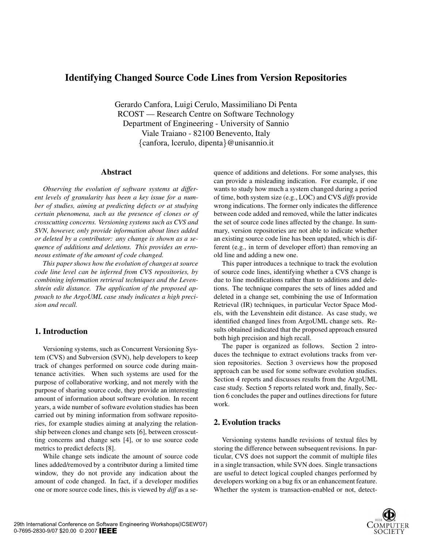# **Identifying Changed Source Code Lines from Version Repositories**

Gerardo Canfora, Luigi Cerulo, Massimiliano Di Penta RCOST — Research Centre on Software Technology Department of Engineering - University of Sannio Viale Traiano - 82100 Benevento, Italy {canfora, lcerulo, dipenta}@unisannio.it

### **Abstract**

*Observing the evolution of software systems at different levels of granularity has been a key issue for a number of studies, aiming at predicting defects or at studying certain phenomena, such as the presence of clones or of crosscutting concerns. Versioning systems such as CVS and SVN, however, only provide information about lines added or deleted by a contributor: any change is shown as a sequence of additions and deletions. This provides an erroneous estimate of the amount of code changed.*

*This paper shows how the evolution of changes at source code line level can be inferred from CVS repositories, by combining information retrieval techniques and the Levenshtein edit distance. The application of the proposed approach to the ArgoUML case study indicates a high precision and recall.*

# **1. Introduction**

Versioning systems, such as Concurrent Versioning System (CVS) and Subversion (SVN), help developers to keep track of changes performed on source code during maintenance activities. When such systems are used for the purpose of collaborative working, and not merely with the purpose of sharing source code, they provide an interesting amount of information about software evolution. In recent years, a wide number of software evolution studies has been carried out by mining information from software repositories, for example studies aiming at analyzing the relationship between clones and change sets [6], between crosscutting concerns and change sets [4], or to use source code metrics to predict defects [8].

While change sets indicate the amount of source code lines added/removed by a contributor during a limited time window, they do not provide any indication about the amount of code changed. In fact, if a developer modifies one or more source code lines, this is viewed by *diff* as a sequence of additions and deletions. For some analyses, this can provide a misleading indication. For example, if one wants to study how much a system changed during a period of time, both system size (e.g., LOC) and CVS *diffs* provide wrong indications. The former only indicates the difference between code added and removed, while the latter indicates the set of source code lines affected by the change. In summary, version repositories are not able to indicate whether an existing source code line has been updated, which is different (e.g., in term of developer effort) than removing an old line and adding a new one.

This paper introduces a technique to track the evolution of source code lines, identifying whether a CVS change is due to line modifications rather than to additions and deletions. The technique compares the sets of lines added and deleted in a change set, combining the use of Information Retrieval (IR) techniques, in particular Vector Space Models, with the Levenshtein edit distance. As case study, we identified changed lines from ArgoUML change sets. Results obtained indicated that the proposed approach ensured both high precision and high recall.

The paper is organized as follows. Section 2 introduces the technique to extract evolutions tracks from version repositories. Section 3 overviews how the proposed approach can be used for some software evolution studies. Section 4 reports and discusses results from the ArgoUML case study. Section 5 reports related work and, finally, Section 6 concludes the paper and outlines directions for future work.

# **2. Evolution tracks**

Versioning systems handle revisions of textual files by storing the difference between subsequent revisions. In particular, CVS does not support the commit of multiple files in a single transaction, while SVN does. Single transactions are useful to detect logical coupled changes performed by developers working on a bug fix or an enhancement feature. Whether the system is transaction-enabled or not, detect-

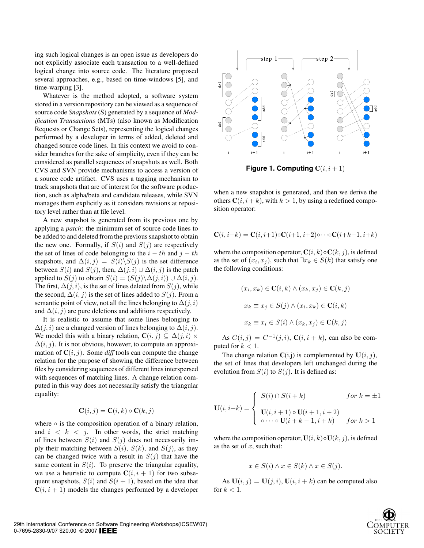ing such logical changes is an open issue as developers do not explicitly associate each transaction to a well-defined logical change into source code. The literature proposed several approaches, e.g., based on time-windows [5], and time-warping [3].

Whatever is the method adopted, a software system stored in a version repository can be viewed as a sequence of source code *Snapshots* (S) generated by a sequence of *Modification Transactions* (MTs) (also known as Modification Requests or Change Sets), representing the logical changes performed by a developer in terms of added, deleted and changed source code lines. In this context we avoid to consider branches for the sake of simplicity, even if they can be considered as parallel sequences of snapshots as well. Both CVS and SVN provide mechanisms to access a version of a source code artifact. CVS uses a tagging mechanism to track snapshots that are of interest for the software production, such as alpha/beta and candidate releases, while SVN manages them explicitly as it considers revisions at repository level rather than at file level.

A new snapshot is generated from its previous one by applying a *patch*: the minimum set of source code lines to be added to and deleted from the previous snapshot to obtain the new one. Formally, if  $S(i)$  and  $S(j)$  are respectively the set of lines of code belonging to the  $i - th$  and  $j - th$ snapshots, and  $\Delta(i, j) = S(i) \backslash S(j)$  is the set difference between  $S(i)$  and  $S(j)$ , then,  $\Delta(j,i) \cup \Delta(i,j)$  is the patch applied to  $S(j)$  to obtain  $S(i) = (S(j) \setminus \Delta(j, i)) \cup \Delta(i, j)$ . The first,  $\Delta(i,i)$ , is the set of lines deleted from  $S(i)$ , while the second,  $\Delta(i, j)$  is the set of lines added to  $S(j)$ . From a semantic point of view, not all the lines belonging to  $\Delta(i,i)$ and  $\Delta(i, j)$  are pure deletions and additions respectively.

It is realistic to assume that some lines belonging to  $\Delta(j,i)$  are a changed version of lines belonging to  $\Delta(i,j)$ . We model this with a binary relation,  $\mathbf{C}(i, j) \subseteq \Delta(j, i) \times$  $\Delta(i, j)$ . It is not obvious, however, to compute an approximation of  $C(i, j)$ . Some *diff* tools can compute the change relation for the purpose of showing the difference between files by considering sequences of different lines interspersed with sequences of matching lines. A change relation computed in this way does not necessarily satisfy the triangular equality:

$$
\mathbf{C}(i,j) = \mathbf{C}(i,k) \circ \mathbf{C}(k,j)
$$

where  $\circ$  is the composition operation of a binary relation, and  $i \leq k \leq j$ . In other words, the strict matching of lines between  $S(i)$  and  $S(j)$  does not necessarily imply their matching between  $S(i)$ ,  $S(k)$ , and  $S(j)$ , as they can be changed twice with a result in  $S(j)$  that have the same content in  $S(i)$ . To preserve the triangular equality, we use a heuristic to compute  $C(i, i + 1)$  for two subsequent snapshots,  $S(i)$  and  $S(i + 1)$ , based on the idea that  $C(i, i + 1)$  models the changes performed by a developer



**Figure 1. Computing**  $C(i, i + 1)$ 

when a new snapshot is generated, and then we derive the others  $C(i, i + k)$ , with  $k > 1$ , by using a redefined composition operator:

$$
\mathbf{C}(i, i+k) = \mathbf{C}(i, i+1) \circ \mathbf{C}(i+1, i+2) \circ \cdots \circ \mathbf{C}(i+k-1, i+k)
$$

where the composition operator,  $C(i, k) \circ C(k, i)$ , is defined as the set of  $(x_i, x_j)$ , such that  $\exists x_k \in S(k)$  that satisfy one the following conditions:

$$
(x_i, x_k) \in \mathbf{C}(i,k) \land (x_k, x_j) \in \mathbf{C}(k,j)
$$

$$
x_k \equiv x_j \in S(j) \land (x_i, x_k) \in \mathbf{C}(i,k)
$$

$$
x_k \equiv x_i \in S(i) \land (x_k, x_j) \in \mathbf{C}(k,j)
$$

As  $C(i, j) = C^{-1}(j, i)$ ,  $C(i, i + k)$ , can also be computed for  $k < 1$ .

The change relation  $C(i,j)$  is complemented by  $U(i, j)$ , the set of lines that developers left unchanged during the evolution from  $S(i)$  to  $S(j)$ . It is defined as:

$$
\mathbf{U}(i, i+k) = \begin{cases} S(i) \cap S(i+k) & \text{for } k = \pm 1 \\ \mathbf{U}(i, i+1) \circ \mathbf{U}(i+1, i+2) & \text{for } k > 1 \\ \circ \cdots \circ \mathbf{U}(i+k-1, i+k) & \text{for } k > 1 \end{cases}
$$

where the composition operator,  $U(i, k) \circ U(k, j)$ , is defined as the set of  $x$ , such that:

$$
x \in S(i) \land x \in S(k) \land x \in S(j).
$$

As  $U(i, j) = U(j, i)$ ,  $U(i, i + k)$  can be computed also for  $k < 1$ .

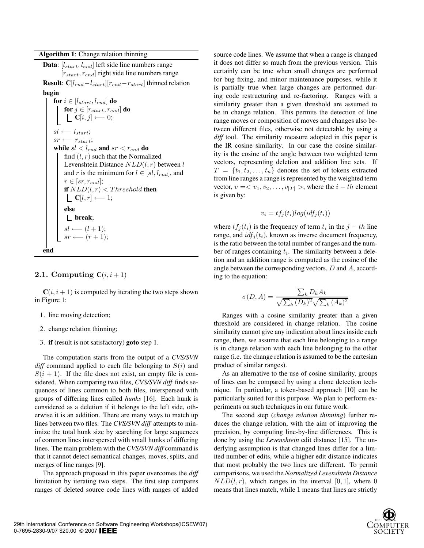**Data**:  $[l_{start}, l_{end}]$  left side line numbers range  $[r_{start}, r_{end}]$  right side line numbers range **Result**:  $C[l_{end}-l_{start}][r_{end}-r_{start}]$  thinned relation **begin for**  $i \in [l_{start}, l_{end}]$  **do** for  $j \in [r_{start}, r_{end}]$  do  $\mathbf{C}[i,j] \longleftarrow 0;$  $\label{eq:sl} sl \longleftarrow \mathit{l_{start}};$  $sr \longleftarrow r_{start};$ **while**  $sl < l_{end}$  and  $sr < r_{end}$  do find  $(l, r)$  such that the Normalized Levenshtein Distance  $NLD(l, r)$  between l and r is the minimum for  $l \in [sl, l_{end}]$ , and  $r \in [sr, r_{end}];$ **if**  $NLD(l, r) < Threshold$  **then C**[l, r] ← 1; **else break**;  $sl \longleftarrow (l + 1);$  $sr \longleftarrow (r+1)$ ; **end**

### **2.1.** Computing  $C(i, i + 1)$

 $C(i, i + 1)$  is computed by iterating the two steps shown in Figure 1:

- 1. line moving detection;
- 2. change relation thinning;
- 3. **if** (result is not satisfactory) **goto** step 1.

The computation starts from the output of a *CVS/SVN diff* command applied to each file belonging to  $S(i)$  and  $S(i + 1)$ . If the file does not exist, an empty file is considered. When comparing two files, *CVS/SVN diff* finds sequences of lines common to both files, interspersed with groups of differing lines called *hunks* [16]. Each hunk is considered as a deletion if it belongs to the left side, otherwise it is an addition. There are many ways to match up lines between two files. The *CVS/SVN diff* attempts to minimize the total hunk size by searching for large sequences of common lines interspersed with small hunks of differing lines. The main problem with the *CVS/SVN diff* command is that it cannot detect semantical changes, moves, splits, and merges of line ranges [9].

The approach proposed in this paper overcomes the *diff* limitation by iterating two steps. The first step compares ranges of deleted source code lines with ranges of added

source code lines. We assume that when a range is changed it does not differ so much from the previous version. This certainly can be true when small changes are performed for bug fixing, and minor maintenance purposes, while it is partially true when large changes are performed during code restructuring and re-factoring. Ranges with a similarity greater than a given threshold are assumed to be in change relation. This permits the detection of line range moves or composition of moves and changes also between different files, otherwise not detectable by using a *diff* tool. The similarity measure adopted in this paper is the IR cosine similarity. In our case the cosine similarity is the cosine of the angle between two weighted term vectors, representing deletion and addition line sets. If  $T = \{t_1, t_2, \ldots, t_n\}$  denotes the set of tokens extracted from line ranges a range is represented by the weighted term vector,  $v = \langle v_1, v_2, \dots, v_{|T|} \rangle$ , where the  $i - th$  element is given by:

$$
v_i = tf_j(t_i)log(idf_j(t_i))
$$

where  $tf_j(t_i)$  is the frequency of term  $t_i$  in the  $j-th$  line range, and  $\text{id}f_i(t_i)$ , known as inverse document frequency, is the ratio between the total number of ranges and the number of ranges containing  $t_i$ . The similarity between a deletion and an addition range is computed as the cosine of the angle between the corresponding vectors, D and A, according to the equation:

$$
\sigma(D, A) = \frac{\sum_{k} D_{k} A_{k}}{\sqrt{\sum_{k} (D_{k})^{2}} \sqrt{\sum_{k} (A_{k})^{2}}}
$$

Ranges with a cosine similarity greater than a given threshold are considered in change relation. The cosine similarity cannot give any indication about lines inside each range, then, we assume that each line belonging to a range is in change relation with each line belonging to the other range (i.e. the change relation is assumed to be the cartesian product of similar ranges).

As an alternative to the use of cosine similarity, groups of lines can be compared by using a clone detection technique. In particular, a token-based approach [10] can be particularly suited for this purpose. We plan to perform experiments on such techniques in our future work.

The second step (*change relation thinning*) further reduces the change relation, with the aim of improving the precision, by computing line-by-line differences. This is done by using the *Levenshtein* edit distance [15]. The underlying assumption is that changed lines differ for a limited number of edits, while a higher edit distance indicates that most probably the two lines are different. To permit comparisons, we used the *Normalized Levenshtein Distance*  $NLD(l, r)$ , which ranges in the interval [0, 1], where 0 means that lines match, while 1 means that lines are strictly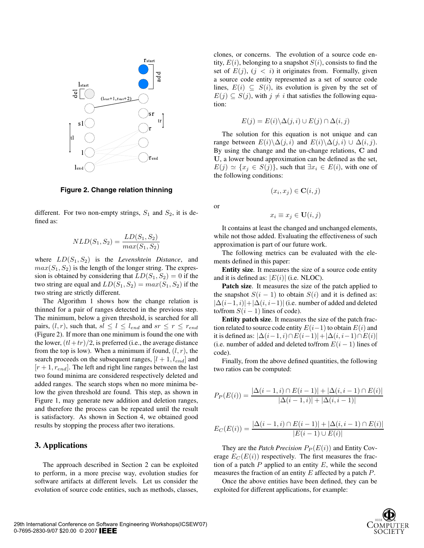

**Figure 2. Change relation thinning**

different. For two non-empty strings,  $S_1$  and  $S_2$ , it is defined as:

$$
NLD(S_1, S_2) = \frac{LD(S_1, S_2)}{max(S_1, S_2)}
$$

where  $LD(S_1, S_2)$  is the *Levenshtein Distance*, and  $max(S_1, S_2)$  is the length of the longer string. The expression is obtained by considering that  $LD(S_1, S_2) = 0$  if the two string are equal and  $LD(S_1, S_2) = max(S_1, S_2)$  if the two string are strictly different.

The Algorithm 1 shows how the change relation is thinned for a pair of ranges detected in the previous step. The minimum, below a given threshold, is searched for all pairs,  $(l, r)$ , such that,  $sl \leq l \leq l_{end}$  and  $sr \leq r \leq r_{end}$ (Figure 2). If more than one minimum is found the one with the lower,  $\left(\frac{t\cdot t + tr}{2}\right)$ , is preferred (i.e., the average distance from the top is low). When a minimum if found,  $(l, r)$ , the search proceeds on the subsequent ranges,  $[l + 1, l_{end}]$  and  $[r+1, r_{end}]$ . The left and right line ranges between the last two found minima are considered respectively deleted and added ranges. The search stops when no more minima below the given threshold are found. This step, as shown in Figure 1, may generate new addition and deletion ranges, and therefore the process can be repeated until the result is satisfactory. As shown in Section 4, we obtained good results by stopping the process after two iterations.

### **3. Applications**

The approach described in Section 2 can be exploited to perform, in a more precise way, evolution studies for software artifacts at different levels. Let us consider the evolution of source code entities, such as methods, classes,

clones, or concerns. The evolution of a source code entity,  $E(i)$ , belonging to a snapshot  $S(i)$ , consists to find the set of  $E(j)$ ,  $(j < i)$  it originates from. Formally, given a source code entity represented as a set of source code lines,  $E(i) \subseteq S(i)$ , its evolution is given by the set of  $E(j) \subseteq S(j)$ , with  $j \neq i$  that satisfies the following equation:

$$
E(j) = E(i) \setminus \Delta(j, i) \cup E(j) \cap \Delta(i, j)
$$

The solution for this equation is not unique and can range between  $E(i)\setminus \Delta(j,i)$  and  $E(i)\setminus \Delta(j,i) \cup \Delta(i,j)$ . By using the change and the un-change relations, C and U, a lower bound approximation can be defined as the set,  $E(j) \simeq \{x_j \in S(j)\}\,$ , such that  $\exists x_i \in E(i)$ , with one of the following conditions:

$$
(x_i, x_j) \in \mathbf{C}(i, j)
$$

or

$$
x_i \equiv x_j \in \mathbf{U}(i,j)
$$

It contains at least the changed and unchanged elements, while not those added. Evaluating the effectiveness of such approximation is part of our future work.

The following metrics can be evaluated with the elements defined in this paper:

**Entity size**. It measures the size of a source code entity and it is defined as:  $|E(i)|$  (i.e. NLOC).

**Patch size**. It measures the size of the patch applied to the snapshot  $S(i - 1)$  to obtain  $S(i)$  and it is defined as:  $|\Delta(i-1,i)|+|\Delta(i,i-1)|$  (i.e. number of added and deleted to/from  $S(i - 1)$  lines of code).

**Entity patch size**. It measures the size of the patch fraction related to source code entity  $E(i-1)$  to obtain  $E(i)$  and it is defined as:  $|\Delta(i-1,i)\cap E(i-1)|+|\Delta(i,i-1)\cap E(i)|$ (i.e. number of added and deleted to/from  $E(i - 1)$  lines of code).

Finally, from the above defined quantities, the following two ratios can be computed:

$$
P_P(E(i)) = \frac{|\Delta(i-1,i) \cap E(i-1)| + |\Delta(i,i-1) \cap E(i)|}{|\Delta(i-1,i)| + |\Delta(i,i-1)|}
$$

$$
E_C(E(i)) = \frac{|\Delta(i-1,i) \cap E(i-1)| + |\Delta(i,i-1) \cap E(i)|}{|E(i-1) \cup E(i)|}
$$

They are the *Patch Precision*  $P_P(E(i))$  and Entity Coverage  $E_C(E(i))$  respectively. The first measures the fraction of a patch  $P$  applied to an entity  $E$ , while the second measures the fraction of an entity  $E$  affected by a patch  $P$ .

Once the above entities have been defined, they can be exploited for different applications, for example:

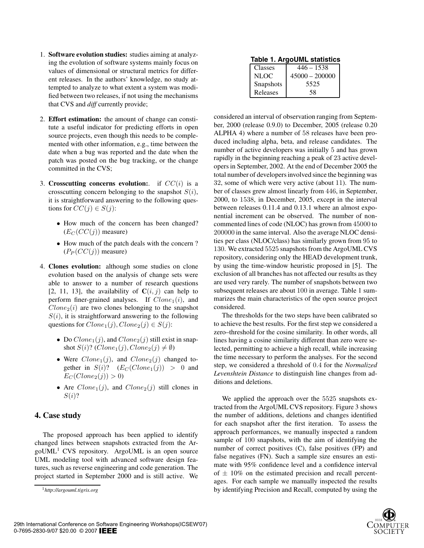- 1. **Software evolution studies:** studies aiming at analyzing the evolution of software systems mainly focus on values of dimensional or structural metrics for different releases. In the authors' knowledge, no study attempted to analyze to what extent a system was modified between two releases, if not using the mechanisms that CVS and *diff* currently provide;
- 2. **Effort estimation:** the amount of change can constitute a useful indicator for predicting efforts in open source projects, even though this needs to be complemented with other information, e.g., time between the date when a bug was reported and the date when the patch was posted on the bug tracking, or the change committed in the CVS;
- 3. **Crosscutting concerns evolution:**. if CC(i) is a crosscutting concern belonging to the snapshot  $S(i)$ , it is straightforward answering to the following questions for  $CC(j) \in S(j)$ :
	- How much of the concern has been changed?  $(E_C(CC(j))$  measure)
	- How much of the patch deals with the concern ?  $(P_P(CC(j))$  measure)
- 4. **Clones evolution:** although some studies on clone evolution based on the analysis of change sets were able to answer to a number of research questions [2, 11, 13], the availability of  $C(i, j)$  can help to perform finer-grained analyses. If  $Clone<sub>1</sub>(i)$ , and  $Clone<sub>2</sub>(i)$  are two clones belonging to the snapshot  $S(i)$ , it is straightforward answering to the following questions for  $Clone_1(j)$ ,  $Clone_2(j) \in S(j)$ :
	- Do  $Clone_1(j)$ , and  $Clone_2(j)$  still exist in snapshot  $S(i)$ ? ( $Clone_1(j)$ ,  $Clone_2(j) \neq \emptyset$ )
	- Were  $Clone_1(j)$ , and  $Clone_2(j)$  changed together in  $S(i)$ ?  $(E_C(Clone_1(j)) > 0$  and  $E_C(Clone_2(j)) > 0$
	- Are  $Clone_1(j)$ , and  $Clone_2(j)$  still clones in  $S(i)$ ?

### **4. Case study**

The proposed approach has been applied to identify changed lines between snapshots extracted from the Ar $g_0$ UML<sup>1</sup> CVS repository. ArgoUML is an open source UML modeling tool with advanced software design features, such as reverse engineering and code generation. The project started in September 2000 and is still active. We

**Table 1. ArgoUML statistics**

| Classes   | $446 - 1538$     |  |  |  |  |
|-----------|------------------|--|--|--|--|
| NLOC.     | $45000 - 200000$ |  |  |  |  |
| Snapshots | 5525             |  |  |  |  |
| Releases  | 58               |  |  |  |  |

considered an interval of observation ranging from September, 2000 (release 0.9.0) to December, 2005 (release 0.20 ALPHA 4) where a number of 58 releases have been produced including alpha, beta, and release candidates. The number of active developers was initially 5 and has grown rapidly in the beginning reaching a peak of 23 active developers in September, 2002. At the end of December 2005 the total number of developersinvolved since the beginning was 32, some of which were very active (about 11). The number of classes grew almost linearly from 446, in September, 2000, to 1538, in December, 2005, except in the interval between releases 0.11.4 and 0.13.1 where an almost exponential increment can be observed. The number of noncommented lines of code (NLOC) has grown from 45000 to 200000 in the same interval. Also the average NLOC densities per class (NLOC/class) has similarly grown from 95 to 130. We extracted 5525 snapshots from the ArgoUML CVS repository, considering only the HEAD development trunk, by using the time-window heuristic proposed in [5]. The exclusion of all branches has not affected our results as they are used very rarely. The number of snapshots between two subsequent releases are about 100 in average. Table 1 summarizes the main characteristics of the open source project considered.

The thresholds for the two steps have been calibrated so to achieve the best results. For the first step we considered a zero–threshold for the cosine similarity. In other words, all lines having a cosine similarity different than zero were selected, permitting to achieve a high recall, while increasing the time necessary to perform the analyses. For the second step, we considered a threshold of 0.4 for the *Normalized Levenshtein Distance* to distinguish line changes from additions and deletions.

We applied the approach over the 5525 snapshots extracted from the ArgoUML CVS repository. Figure 3 shows the number of additions, deletions and changes identified for each snapshot after the first iteration. To assess the approach performances, we manually inspected a random sample of 100 snapshots, with the aim of identifying the number of correct positives (C), false positives (FP) and false negatives (FN). Such a sample size ensures an estimate with 95% confidence level and a confidence interval of  $\pm$  10% on the estimated precision and recall percentages. For each sample we manually inspected the results by identifying Precision and Recall, computed by using the



<sup>1</sup>*http://argouml.tigris.org*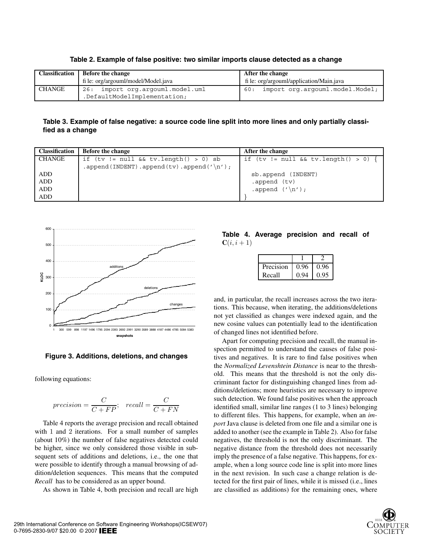|        | Classification   Before the change  | After the change                        |  |
|--------|-------------------------------------|-----------------------------------------|--|
|        | fi le: org/argouml/model/Model.java | file: org/argouml/application/Main.java |  |
| CHANGE | import org.argouml.model.uml<br>26: | import org.argouml.model.Model;<br>60:  |  |
|        | .DefaultModelImplementation;        |                                         |  |

**Table 2. Example of false positive: two similar imports clause detected as a change**

Table 3. Example of false negative: a source code line split into more lines and only partially classi**fied as a change**

| <b>Classification</b> | <b>Before the change</b>                 | After the change                     |
|-----------------------|------------------------------------------|--------------------------------------|
| CHANGE                | if $(tv := null & w.tv.length() > 0)$ sb | if (tv != null && tv.length() > 0) { |
|                       | .append(INDENT).append(tv).append('\n'); |                                      |
| ADD                   |                                          | sb.append (INDENT)                   |
| <b>ADD</b>            |                                          | .append (tv)                         |
| <b>ADD</b>            |                                          | .append $('n');$                     |
| ADD                   |                                          |                                      |



**Figure 3. Additions, deletions, and changes**

following equations:

$$
precision = \frac{C}{C + FP}; \quad recall = \frac{C}{C + FN}
$$

Table 4 reports the average precision and recall obtained with 1 and 2 iterations. For a small number of samples (about 10%) the number of false negatives detected could be higher, since we only considered those visible in subsequent sets of additions and deletions, i.e., the one that were possible to identify through a manual browsing of addition/deletion sequences. This means that the computed *Recall* has to be considered as an upper bound.

As shown in Table 4, both precision and recall are high

**Table 4. Average precision and recall of**  $C(i, i + 1)$ 

| Precision | 0.96 | 0.96 |
|-----------|------|------|
| Recall    | 0.94 | 0.95 |

and, in particular, the recall increases across the two iterations. This because, when iterating, the additions/deletions not yet classified as changes were indexed again, and the new cosine values can potentially lead to the identification of changed lines not identified before.

Apart for computing precision and recall, the manual inspection permitted to understand the causes of false positives and negatives. It is rare to find false positives when the *Normalized Levenshtein Distance* is near to the threshold. This means that the threshold is not the only discriminant factor for distinguishing changed lines from additions/deletions; more heuristics are necessary to improve such detection. We found false positives when the approach identified small, similar line ranges (1 to 3 lines) belonging to different files. This happens, for example, when an *import* Java clause is deleted from one file and a similar one is added to another (see the example in Table 2). Also for false negatives, the threshold is not the only discriminant. The negative distance from the threshold does not necessarily imply the presence of a false negative. This happens, for example, when a long source code line is split into more lines in the next revision. In such case a change relation is detected for the first pair of lines, while it is missed (i.e., lines are classified as additions) for the remaining ones, where

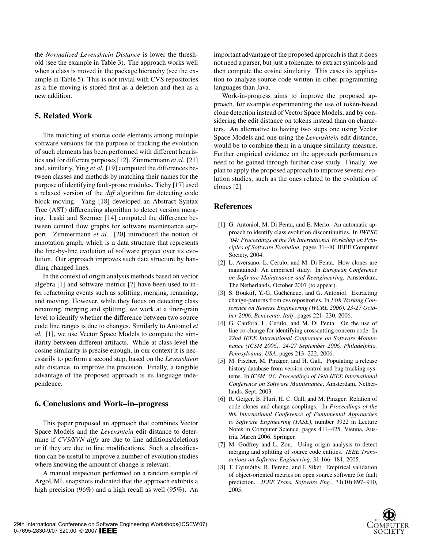the *Normalized Levenshtein Distance* is lower the threshold (see the example in Table 3). The approach works well when a class is moved in the package hierarchy (see the example in Table 5). This is not trivial with CVS repositories as a file moving is stored first as a deletion and then as a new addition.

### **5. Related Work**

The matching of source code elements among multiple software versions for the purpose of tracking the evolution of such elements has been performed with different heuristics and for different purposes[12]. Zimmermann *et al.* [21] and, similarly, Ying *et al.* [19] computed the differences between classes and methods by matching their names for the purpose of identifying fault-prone modules. Tichy [17] used a relaxed version of the *diff* algorithm for detecting code block moving. Yang [18] developed an Abstract Syntax Tree (AST) differencing algorithm to detect version merging. Laski and Szermer [14] computed the difference between control flow graphs for software maintenance support. Zimmermann *et al.* [20] introduced the notion of annotation graph, which is a data structure that represents the line-by-line evolution of software project over its evolution. Our approach improves such data structure by handling changed lines.

In the context of origin analysis methods based on vector algebra [1] and software metrics [7] have been used to infer refactoring events such as splitting, merging, renaming, and moving. However, while they focus on detecting class renaming, merging and splitting, we work at a finer-grain level to identify whether the difference between two source code line ranges is due to changes. Similarly to Antoniol *et al.* [1], we use Vector Space Models to compute the similarity between different artifacts. While at class-level the cosine similarity is precise enough, in our context it is necessarily to perform a second step, based on the *Levenshtein* edit distance, to improve the precision. Finally, a tangible advantage of the proposed approach is its language independence.

### **6. Conclusions and Work–in–progress**

This paper proposed an approach that combines Vector Space Models and the *Levenshtein* edit distance to determine if *CVS/SVN diffs* are due to line additions/deletions or if they are due to line modifications. Such a classification can be useful to improve a number of evolution studies where knowing the amount of change is relevant.

A manual inspection performed on a random sample of ArgoUML snapshots indicated that the approach exhibits a high precision (96%) and a high recall as well (95%). An important advantage of the proposed approach is that it does not need a parser, but just a tokenizer to extract symbols and then compute the cosine similarity. This eases its application to analyze source code written in other programming languages than Java.

Work-in-progress aims to improve the proposed approach, for example experimenting the use of token-based clone detection instead of Vector Space Models, and by considering the edit distance on tokens instead than on characters. An alternative to having two steps one using Vector Space Models and one using the *Levenshtein* edit distance, would be to combine them in a unique similarity measure. Further empirical evidence on the approach performances need to be gained through further case study. Finally, we plan to apply the proposed approach to improve several evolution studies, such as the ones related to the evolution of clones [2].

#### **References**

- [1] G. Antoniol, M. Di Penta, and E. Merlo. An automatic approach to identify class evolution discontinuities. In *IWPSE '04: Proceedings of the 7th International Workshop on Principles of Software Evolution*, pages 31–40. IEEE Computer Society, 2004.
- [2] L. Aversano, L. Cerulo, and M. Di Penta. How clones are maintained: An empirical study. In *European Conference on Software Maintenance and Reengineering*, Amsterdam, The Netherlands, October 2007 (to appear).
- [3] S. Bouktif, Y.-G. Guéhéneuc, and G. Antoniol. Extracting change-patterns from cvs repositories. In *13th Working Conference on Reverse Engineering (WCRE 2006), 23-27 October 2006, Benevento, Italy*, pages 221–230, 2006.
- [4] G. Canfora, L. Cerulo, and M. Di Penta. On the use of line co-change for identifying crosscutting concern code. In *22nd IEEE International Conference on Software Maintenance (ICSM 2006), 24-27 September 2006, Philadelphia, Pennsylvania, USA*, pages 213–222, 2006.
- [5] M. Fischer, M. Pinzger, and H. Gall. Populating a release history database from version control and bug tracking systems. In *ICSM '03: Proceedings of 19th IEEE International Conference on Software Maintenance*, Amsterdam, Netherlands, Sept. 2003.
- [6] R. Geiger, B. Fluri, H. C. Gall, and M. Pinzger. Relation of code clones and change couplings. In *Proceedings of the 9th International Conference of Funtamental Approaches to Software Engineering (FASE)*, number 3922 in Lecture Notes in Computer Science, pages 411–425, Vienna, Austria, March 2006. Springer.
- [7] M. Godfrey and L. Zou. Using origin analysis to detect merging and splitting of source code entities. *IEEE Transactions on Software Engineering*, 31:166–181, 2005.
- [8] T. Gyimóthy, R. Ferenc, and I. Siket. Empirical validation of object-oriented metrics on open source software for fault prediction. *IEEE Trans. Software Eng.*, 31(10):897–910, 2005.